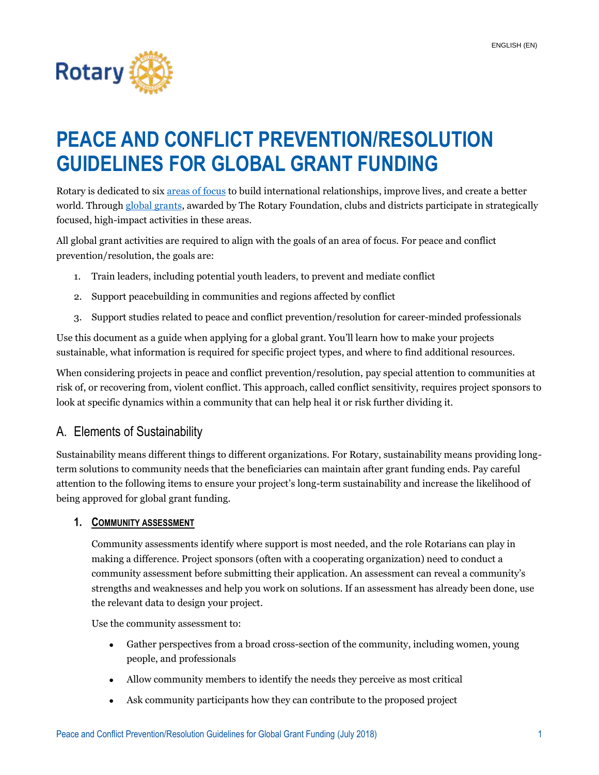

# **PEACE AND CONFLICT PREVENTION/RESOLUTION GUIDELINES FOR GLOBAL GRANT FUNDING**

Rotary is dedicated to six [areas of focus](https://www.rotary.org/en/our-causes) to build international relationships, improve lives, and create a better world. Throug[h global grants,](https://my.rotary.org/en/take-action/apply-grants/global-grants) awarded by The Rotary Foundation, clubs and districts participate in strategically focused, high-impact activities in these areas.

All global grant activities are required to align with the goals of an area of focus. For peace and conflict prevention/resolution, the goals are:

- 1. Train leaders, including potential youth leaders, to prevent and mediate conflict
- 2. Support peacebuilding in communities and regions affected by conflict
- 3. Support studies related to peace and conflict prevention/resolution for career-minded professionals

Use this document as a guide when applying for a global grant. You'll learn how to make your projects sustainable, what information is required for specific project types, and where to find additional resources.

When considering projects in peace and conflict prevention/resolution, pay special attention to communities at risk of, or recovering from, violent conflict. This approach, called conflict sensitivity, requires project sponsors to look at specific dynamics within a community that can help heal it or risk further dividing it.

### A. Elements of Sustainability

Sustainability means different things to different organizations. For Rotary, sustainability means providing longterm solutions to community needs that the beneficiaries can maintain after grant funding ends. Pay careful attention to the following items to ensure your project's long-term sustainability and increase the likelihood of being approved for global grant funding.

#### **1. COMMUNITY ASSESSMENT**

Community assessments identify where support is most needed, and the role Rotarians can play in making a difference. Project sponsors (often with a cooperating organization) need to conduct a community assessment before submitting their application. An assessment can reveal a community's strengths and weaknesses and help you work on solutions. If an assessment has already been done, use the relevant data to design your project.

Use the community assessment to:

- Gather perspectives from a broad cross-section of the community, including women, young people, and professionals
- Allow community members to identify the needs they perceive as most critical
- Ask community participants how they can contribute to the proposed project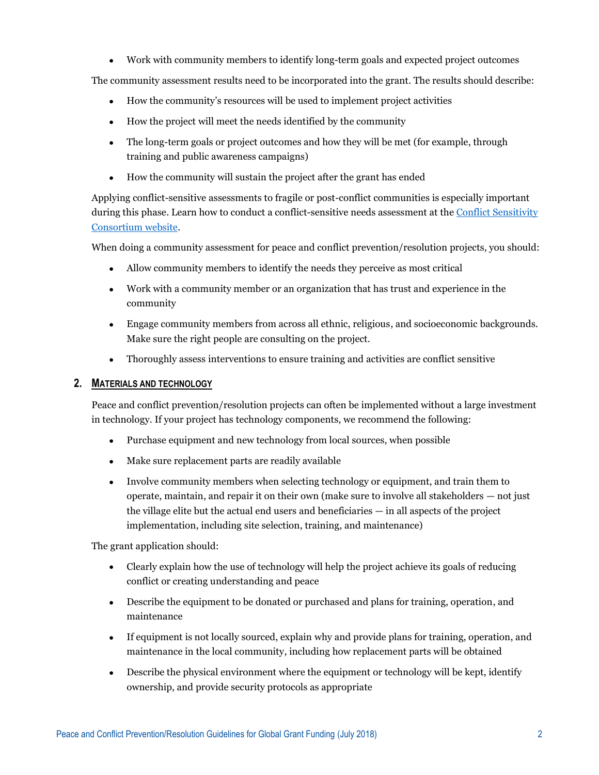Work with community members to identify long-term goals and expected project outcomes

The community assessment results need to be incorporated into the grant. The results should describe:

- How the community's resources will be used to implement project activities
- How the project will meet the needs identified by the community
- The long-term goals or project outcomes and how they will be met (for example, through training and public awareness campaigns)
- How the community will sustain the project after the grant has ended

Applying conflict-sensitive assessments to fragile or post-conflict communities is especially important during this phase. Learn how to conduct a conflict-sensitive needs assessment at th[e Conflict Sensitivity](http://www.conflictsensitivity.org/how-to-guide/)  [Consortium website.](http://www.conflictsensitivity.org/how-to-guide/)

When doing a community assessment for peace and conflict prevention/resolution projects, you should:

- Allow community members to identify the needs they perceive as most critical
- Work with a community member or an organization that has trust and experience in the community
- Engage community members from across all ethnic, religious, and socioeconomic backgrounds. Make sure the right people are consulting on the project.
- Thoroughly assess interventions to ensure training and activities are conflict sensitive

#### **2. MATERIALS AND TECHNOLOGY**

Peace and conflict prevention/resolution projects can often be implemented without a large investment in technology. If your project has technology components, we recommend the following:

- Purchase equipment and new technology from local sources, when possible
- Make sure replacement parts are readily available
- Involve community members when selecting technology or equipment, and train them to operate, maintain, and repair it on their own (make sure to involve all stakeholders — not just the village elite but the actual end users and beneficiaries — in all aspects of the project implementation, including site selection, training, and maintenance)

The grant application should:

- Clearly explain how the use of technology will help the project achieve its goals of reducing conflict or creating understanding and peace
- Describe the equipment to be donated or purchased and plans for training, operation, and maintenance
- If equipment is not locally sourced, explain why and provide plans for training, operation, and maintenance in the local community, including how replacement parts will be obtained
- Describe the physical environment where the equipment or technology will be kept, identify ownership, and provide security protocols as appropriate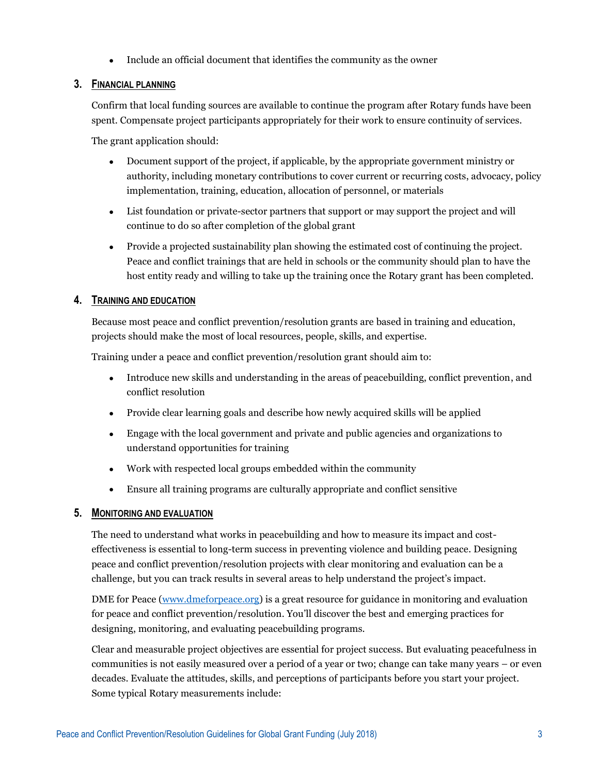Include an official document that identifies the community as the owner

#### **3. FINANCIAL PLANNING**

Confirm that local funding sources are available to continue the program after Rotary funds have been spent. Compensate project participants appropriately for their work to ensure continuity of services.

The grant application should:

- Document support of the project, if applicable, by the appropriate government ministry or authority, including monetary contributions to cover current or recurring costs, advocacy, policy implementation, training, education, allocation of personnel, or materials
- List foundation or private-sector partners that support or may support the project and will continue to do so after completion of the global grant
- Provide a projected sustainability plan showing the estimated cost of continuing the project. Peace and conflict trainings that are held in schools or the community should plan to have the host entity ready and willing to take up the training once the Rotary grant has been completed.

#### **4. TRAINING AND EDUCATION**

Because most peace and conflict prevention/resolution grants are based in training and education, projects should make the most of local resources, people, skills, and expertise.

Training under a peace and conflict prevention/resolution grant should aim to:

- Introduce new skills and understanding in the areas of peacebuilding, conflict prevention, and conflict resolution
- Provide clear learning goals and describe how newly acquired skills will be applied
- Engage with the local government and private and public agencies and organizations to understand opportunities for training
- Work with respected local groups embedded within the community
- Ensure all training programs are culturally appropriate and conflict sensitive

#### **5. MONITORING AND EVALUATION**

The need to understand what works in peacebuilding and how to measure its impact and costeffectiveness is essential to long-term success in preventing violence and building peace. Designing peace and conflict prevention/resolution projects with clear monitoring and evaluation can be a challenge, but you can track results in several areas to help understand the project's impact.

DME for Peace [\(www.dmeforpeace.org\)](file:///C:/Users/CrallR/AppData/Local/Microsoft/Windows/INetCache/Content.Outlook/F3FLAPV0/www.dmeforpeace.org) is a great resource for guidance in monitoring and evaluation for peace and conflict prevention/resolution. You'll discover the best and emerging practices for designing, monitoring, and evaluating peacebuilding programs.

Clear and measurable project objectives are essential for project success. But evaluating peacefulness in communities is not easily measured over a period of a year or two; change can take many years – or even decades. Evaluate the attitudes, skills, and perceptions of participants before you start your project. Some typical Rotary measurements include: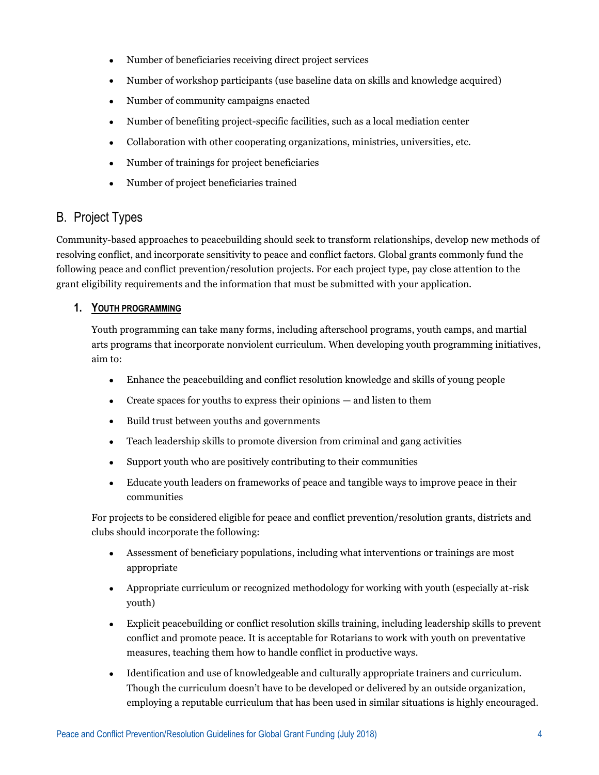- Number of beneficiaries receiving direct project services
- Number of workshop participants (use baseline data on skills and knowledge acquired)
- Number of community campaigns enacted
- Number of benefiting project-specific facilities, such as a local mediation center
- Collaboration with other cooperating organizations, ministries, universities, etc.
- Number of trainings for project beneficiaries
- Number of project beneficiaries trained

## B. Project Types

Community-based approaches to peacebuilding should seek to transform relationships, develop new methods of resolving conflict, and incorporate sensitivity to peace and conflict factors. Global grants commonly fund the following peace and conflict prevention/resolution projects. For each project type, pay close attention to the grant eligibility requirements and the information that must be submitted with your application.

#### **1. YOUTH PROGRAMMING**

Youth programming can take many forms, including afterschool programs, youth camps, and martial arts programs that incorporate nonviolent curriculum. When developing youth programming initiatives, aim to:

- Enhance the peacebuilding and conflict resolution knowledge and skills of young people
- Create spaces for youths to express their opinions and listen to them
- Build trust between youths and governments
- Teach leadership skills to promote diversion from criminal and gang activities
- Support youth who are positively contributing to their communities
- Educate youth leaders on frameworks of peace and tangible ways to improve peace in their communities

For projects to be considered eligible for peace and conflict prevention/resolution grants, districts and clubs should incorporate the following:

- Assessment of beneficiary populations, including what interventions or trainings are most appropriate
- Appropriate curriculum or recognized methodology for working with youth (especially at-risk youth)
- Explicit peacebuilding or conflict resolution skills training, including leadership skills to prevent conflict and promote peace. It is acceptable for Rotarians to work with youth on preventative measures, teaching them how to handle conflict in productive ways.
- Identification and use of knowledgeable and culturally appropriate trainers and curriculum. Though the curriculum doesn't have to be developed or delivered by an outside organization, employing a reputable curriculum that has been used in similar situations is highly encouraged.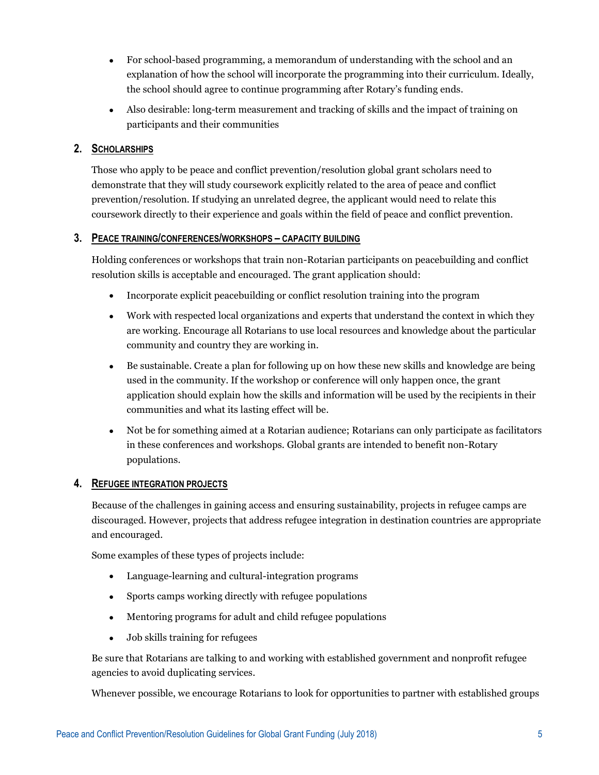- For school-based programming, a memorandum of understanding with the school and an explanation of how the school will incorporate the programming into their curriculum. Ideally, the school should agree to continue programming after Rotary's funding ends.
- Also desirable: long-term measurement and tracking of skills and the impact of training on participants and their communities

#### **2. SCHOLARSHIPS**

Those who apply to be peace and conflict prevention/resolution global grant scholars need to demonstrate that they will study coursework explicitly related to the area of peace and conflict prevention/resolution. If studying an unrelated degree, the applicant would need to relate this coursework directly to their experience and goals within the field of peace and conflict prevention.

#### **3. PEACE TRAINING/CONFERENCES/WORKSHOPS – CAPACITY BUILDING**

Holding conferences or workshops that train non-Rotarian participants on peacebuilding and conflict resolution skills is acceptable and encouraged. The grant application should:

- Incorporate explicit peacebuilding or conflict resolution training into the program
- Work with respected local organizations and experts that understand the context in which they are working. Encourage all Rotarians to use local resources and knowledge about the particular community and country they are working in.
- Be sustainable. Create a plan for following up on how these new skills and knowledge are being used in the community. If the workshop or conference will only happen once, the grant application should explain how the skills and information will be used by the recipients in their communities and what its lasting effect will be.
- Not be for something aimed at a Rotarian audience; Rotarians can only participate as facilitators in these conferences and workshops. Global grants are intended to benefit non-Rotary populations.

#### **4. REFUGEE INTEGRATION PROJECTS**

Because of the challenges in gaining access and ensuring sustainability, projects in refugee camps are discouraged. However, projects that address refugee integration in destination countries are appropriate and encouraged.

Some examples of these types of projects include:

- Language-learning and cultural-integration programs
- Sports camps working directly with refugee populations
- Mentoring programs for adult and child refugee populations
- Job skills training for refugees

Be sure that Rotarians are talking to and working with established government and nonprofit refugee agencies to avoid duplicating services.

Whenever possible, we encourage Rotarians to look for opportunities to partner with established groups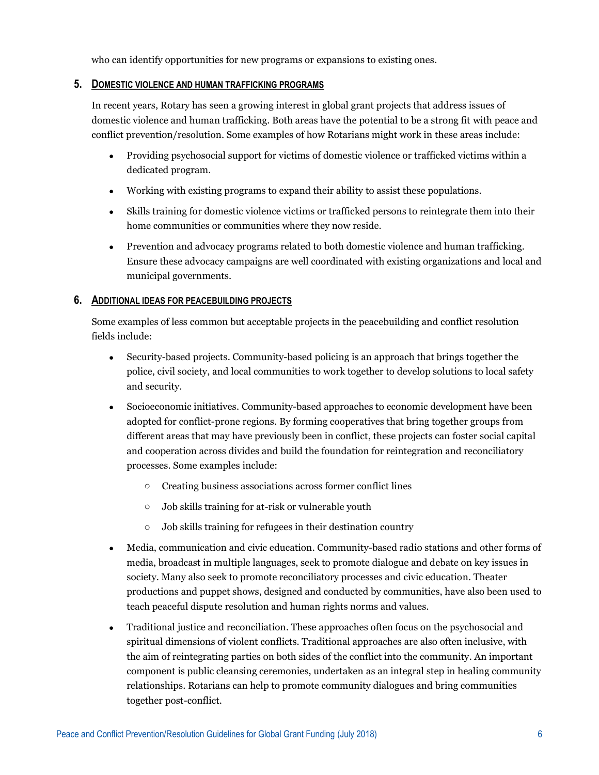who can identify opportunities for new programs or expansions to existing ones.

#### **5. DOMESTIC VIOLENCE AND HUMAN TRAFFICKING PROGRAMS**

In recent years, Rotary has seen a growing interest in global grant projects that address issues of domestic violence and human trafficking. Both areas have the potential to be a strong fit with peace and conflict prevention/resolution. Some examples of how Rotarians might work in these areas include:

- Providing psychosocial support for victims of domestic violence or trafficked victims within a dedicated program.
- Working with existing programs to expand their ability to assist these populations.
- Skills training for domestic violence victims or trafficked persons to reintegrate them into their home communities or communities where they now reside.
- Prevention and advocacy programs related to both domestic violence and human trafficking. Ensure these advocacy campaigns are well coordinated with existing organizations and local and municipal governments.

#### **6. ADDITIONAL IDEAS FOR PEACEBUILDING PROJECTS**

Some examples of less common but acceptable projects in the peacebuilding and conflict resolution fields include:

- Security-based projects. Community-based policing is an approach that brings together the police, civil society, and local communities to work together to develop solutions to local safety and security.
- Socioeconomic initiatives. Community-based approaches to economic development have been adopted for conflict-prone regions. By forming cooperatives that bring together groups from different areas that may have previously been in conflict, these projects can foster social capital and cooperation across divides and build the foundation for reintegration and reconciliatory processes. Some examples include:
	- o Creating business associations across former conflict lines
	- o Job skills training for at-risk or vulnerable youth
	- o Job skills training for refugees in their destination country
- Media, communication and civic education. Community-based radio stations and other forms of media, broadcast in multiple languages, seek to promote dialogue and debate on key issues in society. Many also seek to promote reconciliatory processes and civic education. Theater productions and puppet shows, designed and conducted by communities, have also been used to teach peaceful dispute resolution and human rights norms and values.
- Traditional justice and reconciliation. These approaches often focus on the psychosocial and spiritual dimensions of violent conflicts. Traditional approaches are also often inclusive, with the aim of reintegrating parties on both sides of the conflict into the community. An important component is public cleansing ceremonies, undertaken as an integral step in healing community relationships. Rotarians can help to promote community dialogues and bring communities together post-conflict.